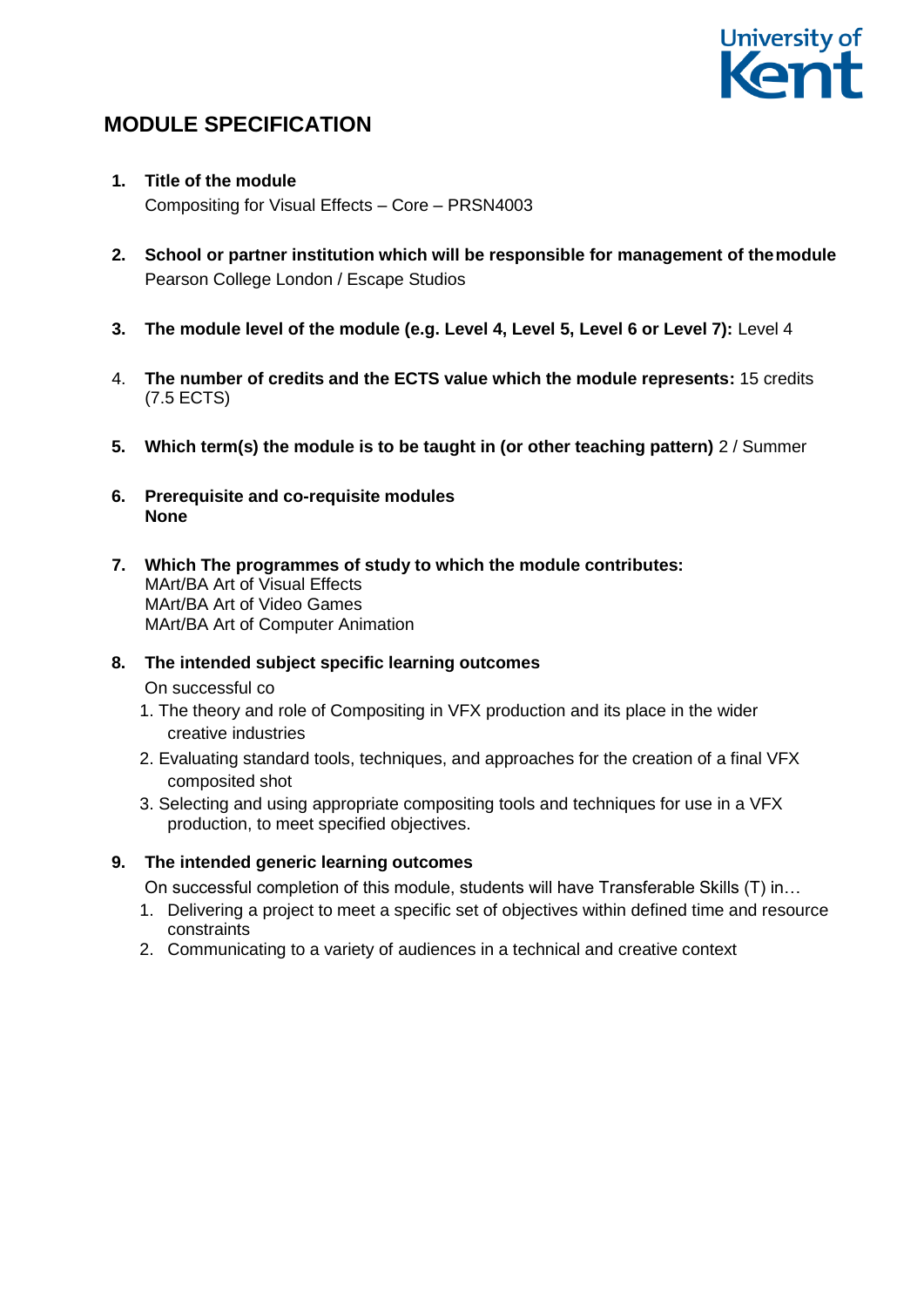# University of **ent**

# **MODULE SPECIFICATION**

- **1. Title of the module** Compositing for Visual Effects – Core – PRSN4003
- **2. School or partner institution which will be responsible for management of themodule** Pearson College London / Escape Studios
- **3. The module level of the module (e.g. Level 4, Level 5, Level 6 or Level 7):** Level 4
- 4. **The number of credits and the ECTS value which the module represents:** 15 credits (7.5 ECTS)
- **5. Which term(s) the module is to be taught in (or other teaching pattern)** 2 / Summer
- **6. Prerequisite and co-requisite modules None**
- **7. Which The programmes of study to which the module contributes:**  MArt/BA Art of Visual Effects MArt/BA Art of Video Games MArt/BA Art of Computer Animation

# **8. The intended subject specific learning outcomes**

On successful co

- 1. The theory and role of Compositing in VFX production and its place in the wider creative industries
- 2. Evaluating standard tools, techniques, and approaches for the creation of a final VFX composited shot
- 3. Selecting and using appropriate compositing tools and techniques for use in a VFX production, to meet specified objectives.

# **9. The intended generic learning outcomes**

On successful completion of this module, students will have Transferable Skills (T) in…

- 1. Delivering a project to meet a specific set of objectives within defined time and resource constraints
- 2. Communicating to a variety of audiences in a technical and creative context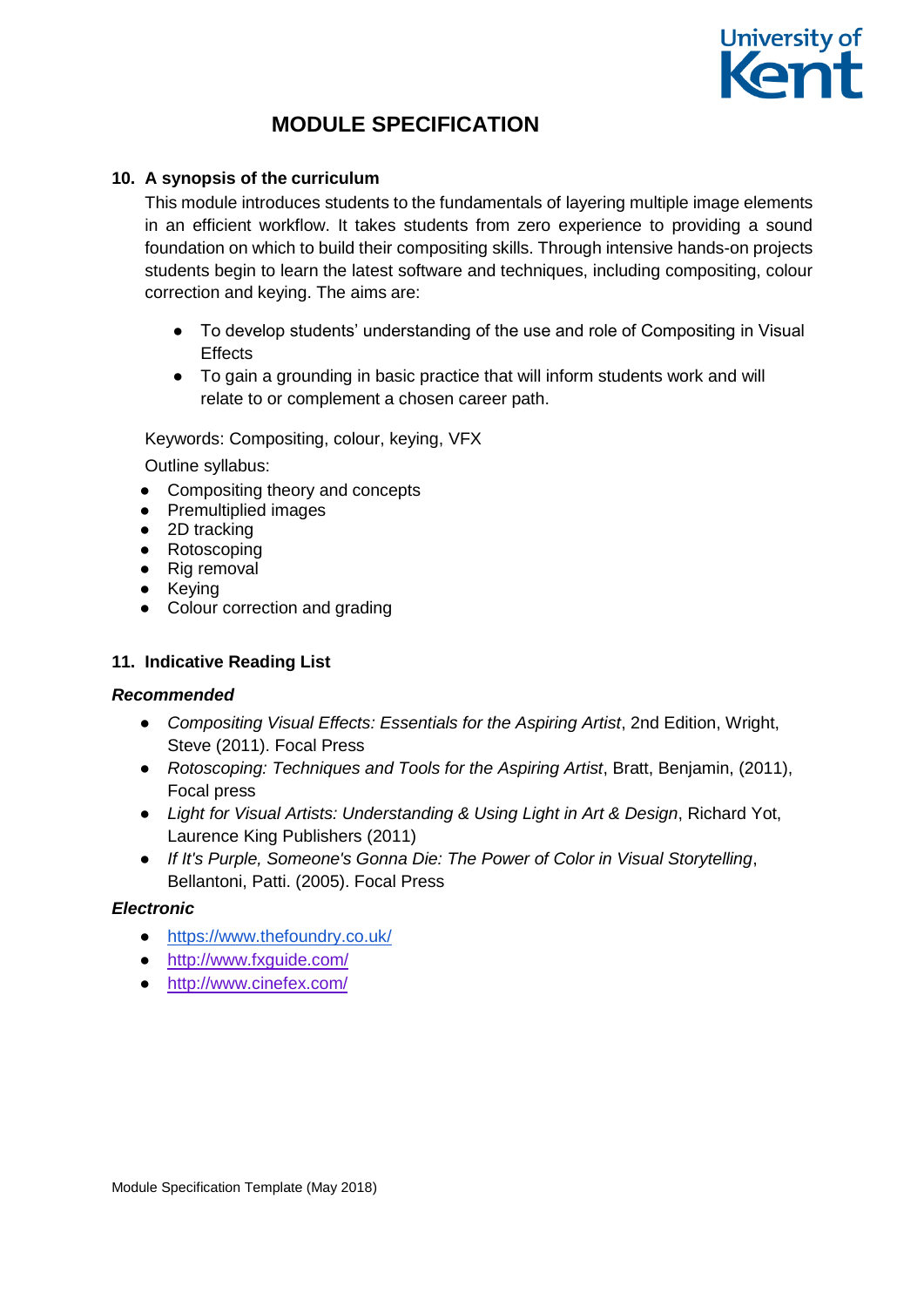

# **10. A synopsis of the curriculum**

This module introduces students to the fundamentals of layering multiple image elements in an efficient workflow. It takes students from zero experience to providing a sound foundation on which to build their compositing skills. Through intensive hands-on projects students begin to learn the latest software and techniques, including compositing, colour correction and keying. The aims are:

- To develop students' understanding of the use and role of Compositing in Visual **Effects**
- To gain a grounding in basic practice that will inform students work and will relate to or complement a chosen career path.

Keywords: Compositing, colour, keying, VFX

Outline syllabus:

- Compositing theory and concepts
- Premultiplied images
- 2D tracking
- Rotoscoping
- Rig removal
- Keying
- Colour correction and grading

# **11. Indicative Reading List**

# *Recommended*

- *Compositing Visual Effects: Essentials for the Aspiring Artist*, 2nd Edition, Wright, Steve (2011). Focal Press
- *Rotoscoping: Techniques and Tools for the Aspiring Artist*, Bratt, Benjamin, (2011), Focal press
- *Light for Visual Artists: Understanding & Using Light in Art & Design*, Richard Yot, Laurence King Publishers (2011)
- *If It's Purple, Someone's Gonna Die: The Power of Color in Visual Storytelling*, Bellantoni, Patti. (2005). Focal Press

# *Electronic*

- <https://www.thefoundry.co.uk/>
- <http://www.fxguide.com/>
- <http://www.cinefex.com/>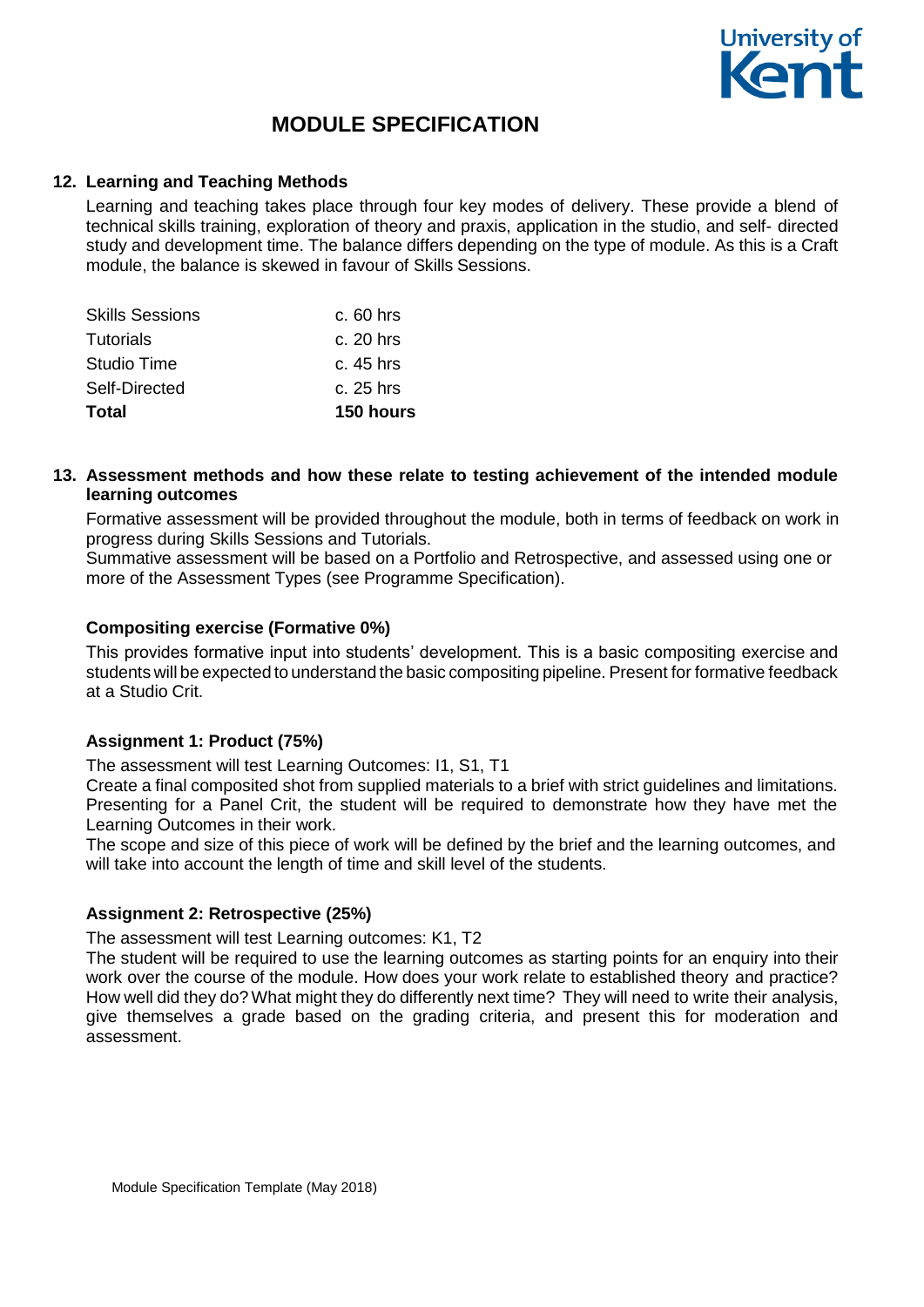

## **12. Learning and Teaching Methods**

Learning and teaching takes place through four key modes of delivery. These provide a blend of technical skills training, exploration of theory and praxis, application in the studio, and self- directed study and development time. The balance differs depending on the type of module. As this is a Craft module, the balance is skewed in favour of Skills Sessions.

| Total                  | 150 hours  |
|------------------------|------------|
| Self-Directed          | c. 25 hrs  |
| Studio Time            | $c.45$ hrs |
| Tutorials              | c. 20 hrs  |
| <b>Skills Sessions</b> | $c.60$ hrs |

## **13. Assessment methods and how these relate to testing achievement of the intended module learning outcomes**

Formative assessment will be provided throughout the module, both in terms of feedback on work in progress during Skills Sessions and Tutorials.

Summative assessment will be based on a Portfolio and Retrospective, and assessed using one or more of the Assessment Types (see Programme Specification).

#### **Compositing exercise (Formative 0%)**

This provides formative input into students' development. This is a basic compositing exercise and students will be expected to understand the basic compositing pipeline. Present for formative feedback at a Studio Crit.

#### **Assignment 1: Product (75%)**

The assessment will test Learning Outcomes: I1, S1, T1

Create a final composited shot from supplied materials to a brief with strict guidelines and limitations. Presenting for a Panel Crit, the student will be required to demonstrate how they have met the Learning Outcomes in their work.

The scope and size of this piece of work will be defined by the brief and the learning outcomes, and will take into account the length of time and skill level of the students.

#### **Assignment 2: Retrospective (25%)**

The assessment will test Learning outcomes: K1, T2

The student will be required to use the learning outcomes as starting points for an enquiry into their work over the course of the module. How does your work relate to established theory and practice? How well did they do? What might they do differently next time? They will need to write their analysis, give themselves a grade based on the grading criteria, and present this for moderation and assessment.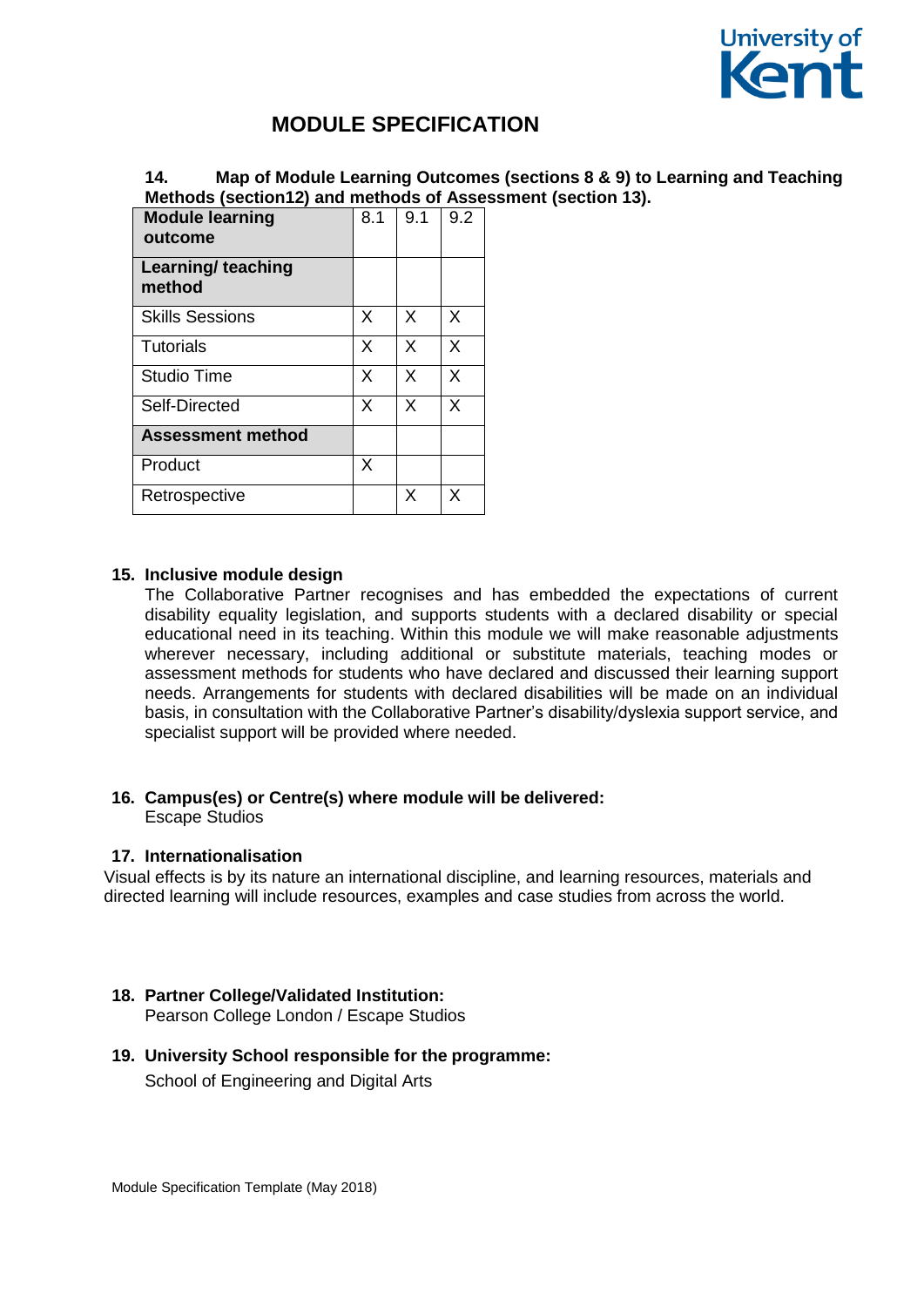

# **14. Map of Module Learning Outcomes (sections 8 & 9) to Learning and Teaching Methods (section12) and methods of Assessment (section 13).**

| <b>Module learning</b><br>outcome   | 8.1 | 9.1 | 9.2 |
|-------------------------------------|-----|-----|-----|
| <b>Learning/ teaching</b><br>method |     |     |     |
| <b>Skills Sessions</b>              | X   | X   | X   |
| <b>Tutorials</b>                    | X   | X   | X   |
| <b>Studio Time</b>                  | X   | X   | X   |
| Self-Directed                       | X   | X   | X   |
| <b>Assessment method</b>            |     |     |     |
| Product                             | X   |     |     |
| Retrospective                       |     | X   | x   |

#### **15. Inclusive module design**

The Collaborative Partner recognises and has embedded the expectations of current disability equality legislation, and supports students with a declared disability or special educational need in its teaching. Within this module we will make reasonable adjustments wherever necessary, including additional or substitute materials, teaching modes or assessment methods for students who have declared and discussed their learning support needs. Arrangements for students with declared disabilities will be made on an individual basis, in consultation with the Collaborative Partner's disability/dyslexia support service, and specialist support will be provided where needed.

#### **16. Campus(es) or Centre(s) where module will be delivered:** Escape Studios

#### **17. Internationalisation**

Visual effects is by its nature an international discipline, and learning resources, materials and directed learning will include resources, examples and case studies from across the world.

# **18. Partner College/Validated Institution:**

Pearson College London / Escape Studios

#### **19. University School responsible for the programme:**

School of Engineering and Digital Arts